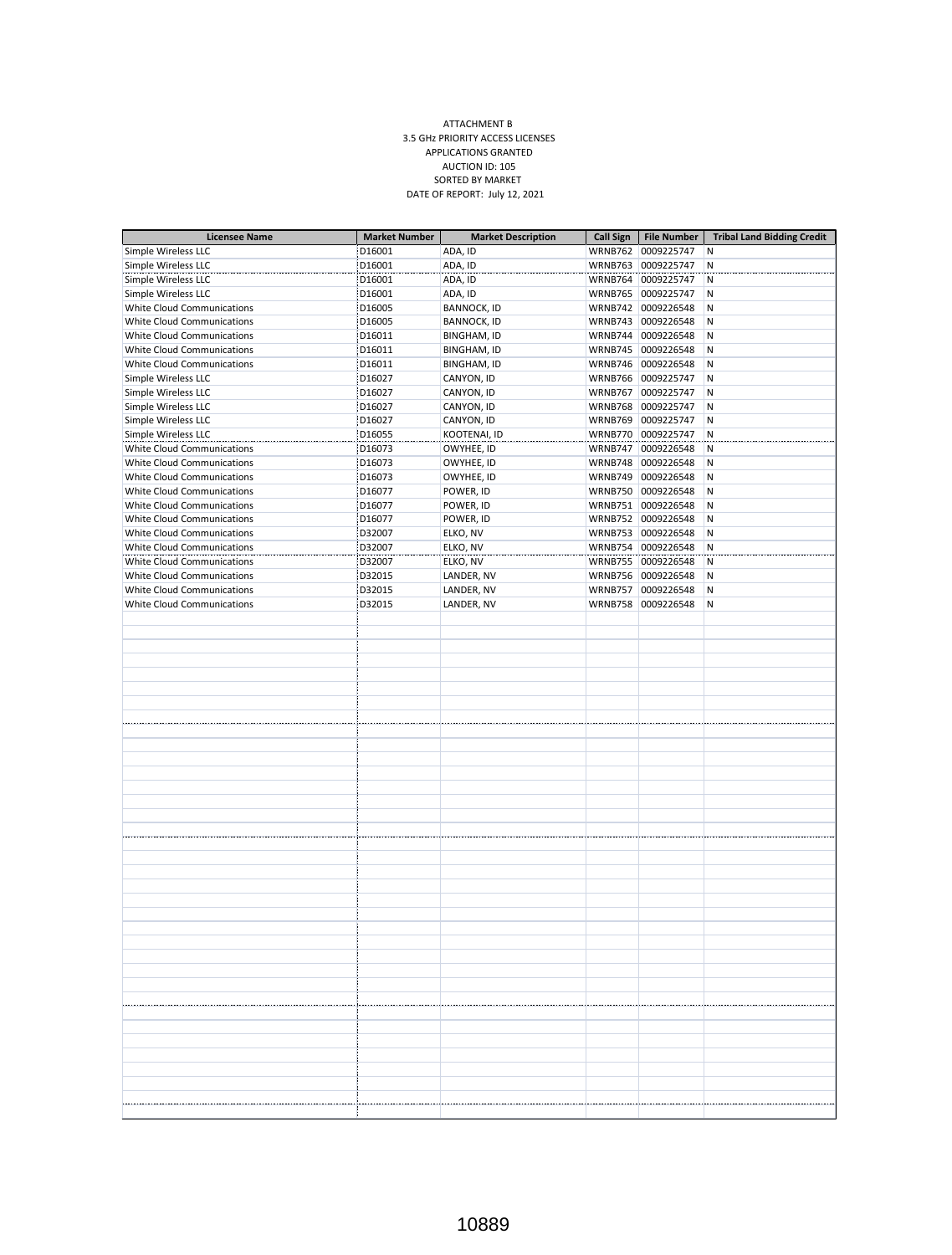## ATTACHMENT B 3.5 GHz PRIORITY ACCESS LICENSES APPLICATIONS GRANTED AUCTION ID: 105 SORTED BY MARKET DATE OF REPORT: July 12, 2021

| <b>Licensee Name</b>              | <b>Market Number</b> | <b>Market Description</b> | <b>Call Sign</b> | <b>File Number</b> | <b>Tribal Land Bidding Credit</b> |
|-----------------------------------|----------------------|---------------------------|------------------|--------------------|-----------------------------------|
| Simple Wireless LLC               | D16001               | ADA, ID                   |                  | WRNB762 0009225747 | Ν                                 |
| Simple Wireless LLC               | D16001               | ADA, ID                   |                  | WRNB763 0009225747 | N                                 |
| Simple Wireless LLC               | D16001               | ADA, ID                   |                  | WRNB764 0009225747 | N                                 |
| Simple Wireless LLC               | D16001               | ADA, ID                   |                  | WRNB765 0009225747 | N                                 |
| White Cloud Communications        | D16005               | <b>BANNOCK, ID</b>        |                  | WRNB742 0009226548 | N                                 |
| White Cloud Communications        | D16005               | <b>BANNOCK, ID</b>        |                  | WRNB743 0009226548 | ΙN                                |
| White Cloud Communications        | D16011               | <b>BINGHAM, ID</b>        |                  | WRNB744 0009226548 | IN.                               |
| White Cloud Communications        | D16011               | <b>BINGHAM, ID</b>        |                  | WRNB745 0009226548 | N                                 |
| White Cloud Communications        | D16011               | <b>BINGHAM, ID</b>        |                  | WRNB746 0009226548 | IN.                               |
| Simple Wireless LLC               | D16027               | CANYON, ID                |                  | WRNB766 0009225747 | İΝ                                |
| Simple Wireless LLC               | D16027               | CANYON, ID                |                  | WRNB767 0009225747 | įΝ                                |
| Simple Wireless LLC               | D16027               | CANYON, ID                |                  | WRNB768 0009225747 | N                                 |
| Simple Wireless LLC               | D16027               | CANYON, ID                |                  | WRNB769 0009225747 | ĮΝ.                               |
| Simple Wireless LLC               | D16055               | KOOTENAI, ID              |                  | WRNB770 0009225747 | N                                 |
| <b>White Cloud Communications</b> | D16073               | OWYHEE, ID                |                  | WRNB747 0009226548 | 'N                                |
| <b>White Cloud Communications</b> | D16073               | OWYHEE, ID                |                  | WRNB748 0009226548 | N                                 |
| White Cloud Communications        | D16073               | OWYHEE, ID                |                  | WRNB749 0009226548 | İΝ                                |
| White Cloud Communications        | D16077               | POWER, ID                 |                  | WRNB750 0009226548 | N                                 |
| White Cloud Communications        | D16077               | POWER, ID                 |                  | WRNB751 0009226548 | N                                 |
| White Cloud Communications        | D16077               | POWER, ID                 |                  | WRNB752 0009226548 | N                                 |
| White Cloud Communications        | D32007               | ELKO, NV                  |                  | WRNB753 0009226548 | İΝ                                |
| White Cloud Communications        | D32007               | ELKO, NV                  |                  | WRNB754 0009226548 | N                                 |
| White Cloud Communications        | D32007               | ELKO, NV                  |                  | WRNB755 0009226548 | N                                 |
| White Cloud Communications        | D32015               | LANDER, NV                |                  | WRNB756 0009226548 | N                                 |
| White Cloud Communications        | D32015               | LANDER, NV                |                  | WRNB757 0009226548 | N                                 |
| <b>White Cloud Communications</b> | D32015               | LANDER, NV                |                  | WRNB758 0009226548 | Ν                                 |
|                                   |                      |                           |                  |                    |                                   |
|                                   |                      |                           |                  |                    |                                   |
|                                   |                      |                           |                  |                    |                                   |
|                                   |                      |                           |                  |                    |                                   |
|                                   |                      |                           |                  |                    |                                   |
|                                   |                      |                           |                  |                    |                                   |
|                                   |                      |                           |                  |                    |                                   |
|                                   |                      |                           |                  |                    |                                   |
|                                   |                      |                           |                  |                    |                                   |
|                                   |                      |                           |                  |                    |                                   |
|                                   |                      |                           |                  |                    |                                   |
|                                   |                      |                           |                  |                    |                                   |
|                                   |                      |                           |                  |                    |                                   |
|                                   |                      |                           |                  |                    |                                   |
|                                   |                      |                           |                  |                    |                                   |
|                                   |                      |                           |                  |                    |                                   |
|                                   |                      |                           |                  |                    |                                   |
|                                   |                      |                           |                  |                    |                                   |
|                                   |                      |                           |                  |                    |                                   |
|                                   |                      |                           |                  |                    |                                   |
|                                   |                      |                           |                  |                    |                                   |
|                                   |                      |                           |                  |                    |                                   |
|                                   |                      |                           |                  |                    |                                   |
|                                   |                      |                           |                  |                    |                                   |
|                                   |                      |                           |                  |                    |                                   |
|                                   |                      |                           |                  |                    |                                   |
|                                   |                      |                           |                  |                    |                                   |
|                                   |                      |                           |                  |                    |                                   |
|                                   |                      |                           |                  |                    |                                   |
|                                   |                      |                           |                  |                    |                                   |
|                                   |                      |                           |                  |                    |                                   |
|                                   |                      |                           |                  |                    |                                   |
|                                   |                      |                           |                  |                    |                                   |
|                                   |                      |                           |                  |                    |                                   |
|                                   |                      |                           |                  |                    |                                   |
|                                   |                      |                           |                  |                    |                                   |